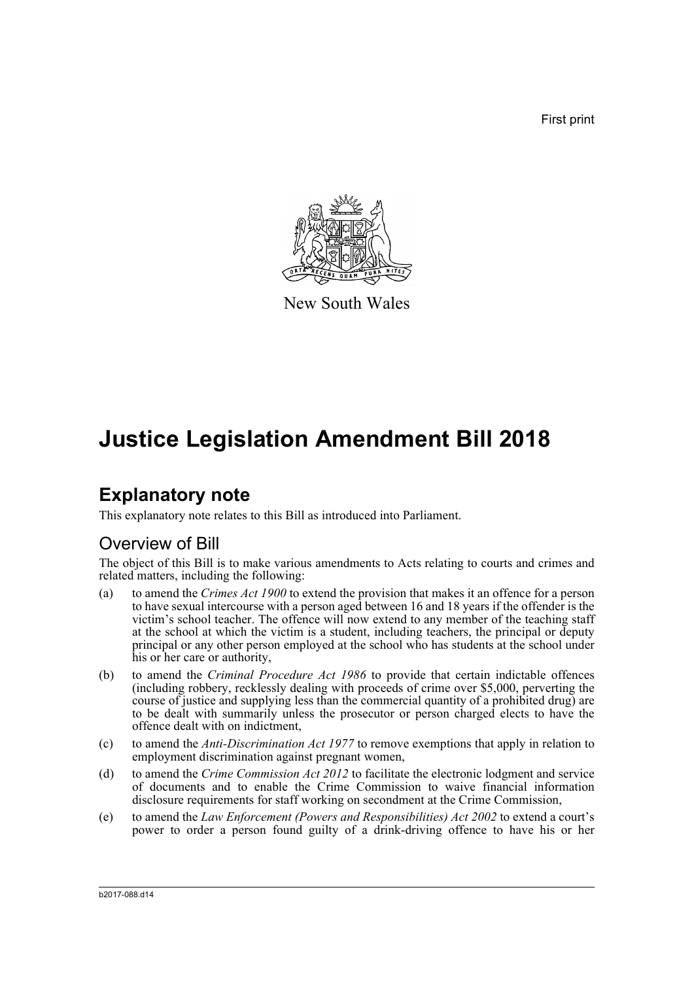First print



New South Wales

# **Justice Legislation Amendment Bill 2018**

## **Explanatory note**

This explanatory note relates to this Bill as introduced into Parliament.

## Overview of Bill

The object of this Bill is to make various amendments to Acts relating to courts and crimes and related matters, including the following:

- (a) to amend the *Crimes Act 1900* to extend the provision that makes it an offence for a person to have sexual intercourse with a person aged between 16 and 18 years if the offender is the victim's school teacher. The offence will now extend to any member of the teaching staff at the school at which the victim is a student, including teachers, the principal or deputy principal or any other person employed at the school who has students at the school under his or her care or authority,
- (b) to amend the *Criminal Procedure Act 1986* to provide that certain indictable offences (including robbery, recklessly dealing with proceeds of crime over \$5,000, perverting the course of justice and supplying less than the commercial quantity of a prohibited drug) are to be dealt with summarily unless the prosecutor or person charged elects to have the offence dealt with on indictment,
- (c) to amend the *Anti-Discrimination Act 1977* to remove exemptions that apply in relation to employment discrimination against pregnant women,
- (d) to amend the *Crime Commission Act 2012* to facilitate the electronic lodgment and service of documents and to enable the Crime Commission to waive financial information disclosure requirements for staff working on secondment at the Crime Commission,
- (e) to amend the *Law Enforcement (Powers and Responsibilities) Act 2002* to extend a court's power to order a person found guilty of a drink-driving offence to have his or her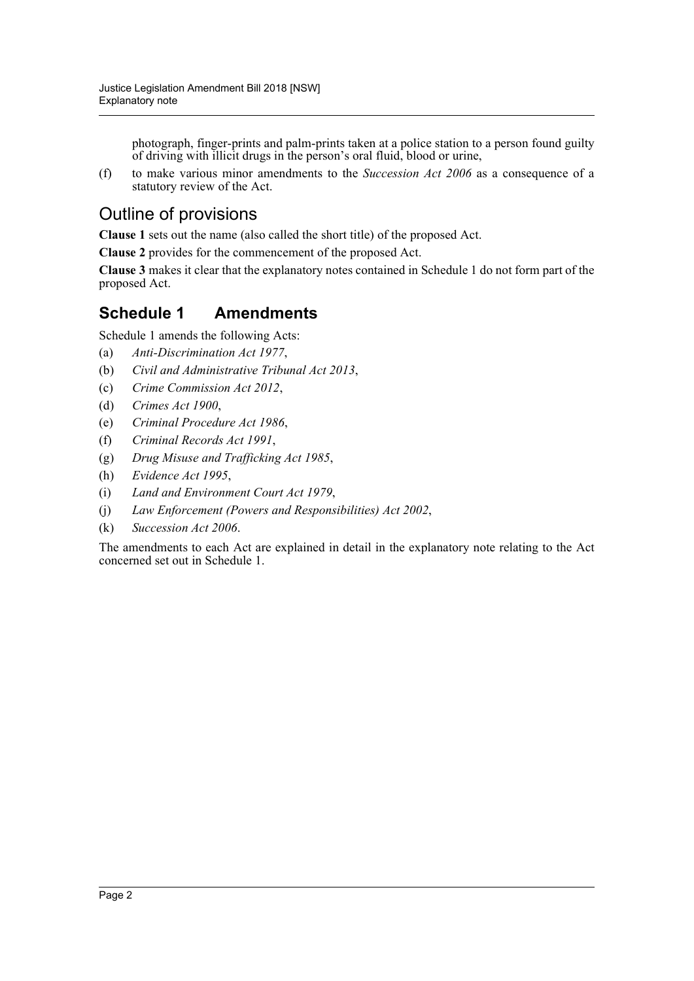photograph, finger-prints and palm-prints taken at a police station to a person found guilty of driving with illicit drugs in the person's oral fluid, blood or urine,

(f) to make various minor amendments to the *Succession Act 2006* as a consequence of a statutory review of the Act.

## Outline of provisions

**Clause 1** sets out the name (also called the short title) of the proposed Act.

**Clause 2** provides for the commencement of the proposed Act.

**Clause 3** makes it clear that the explanatory notes contained in Schedule 1 do not form part of the proposed Act.

### **Schedule 1 Amendments**

Schedule 1 amends the following Acts:

- (a) *Anti-Discrimination Act 1977*,
- (b) *Civil and Administrative Tribunal Act 2013*,
- (c) *Crime Commission Act 2012*,
- (d) *Crimes Act 1900*,
- (e) *Criminal Procedure Act 1986*,
- (f) *Criminal Records Act 1991*,
- (g) *Drug Misuse and Trafficking Act 1985*,
- (h) *Evidence Act 1995*,
- (i) *Land and Environment Court Act 1979*,
- (j) *Law Enforcement (Powers and Responsibilities) Act 2002*,
- (k) *Succession Act 2006*.

The amendments to each Act are explained in detail in the explanatory note relating to the Act concerned set out in Schedule 1.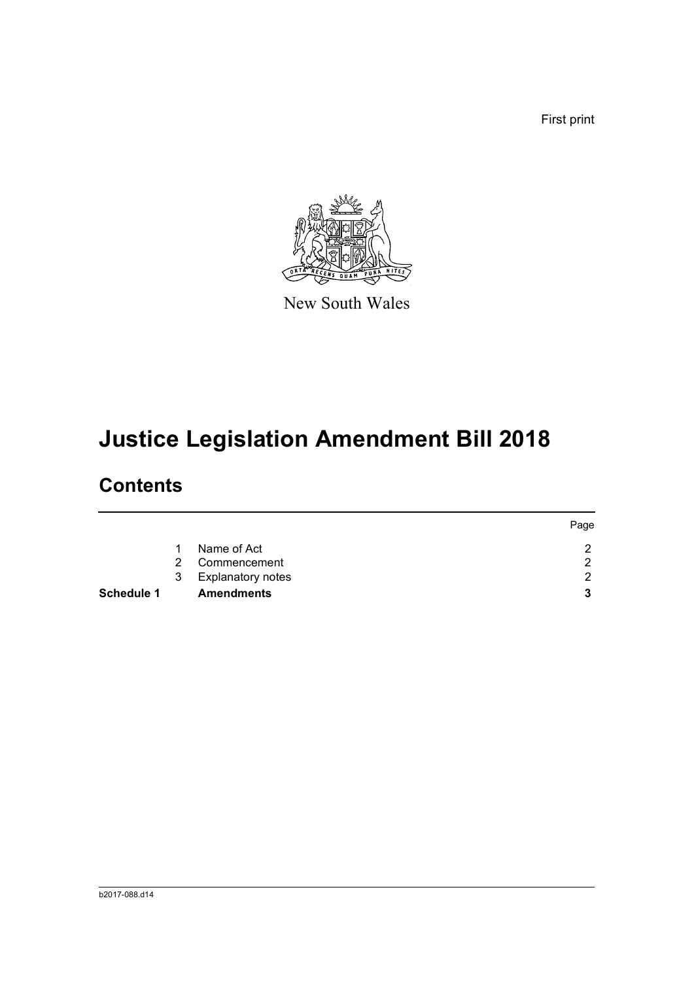First print



New South Wales

# **Justice Legislation Amendment Bill 2018**

## **Contents**

|            |   |                          | Page |
|------------|---|--------------------------|------|
|            |   | Name of Act              | ົ    |
|            | 2 | Commencement             | ົ    |
|            | 3 | <b>Explanatory notes</b> | ົ    |
| Schedule 1 |   | <b>Amendments</b>        |      |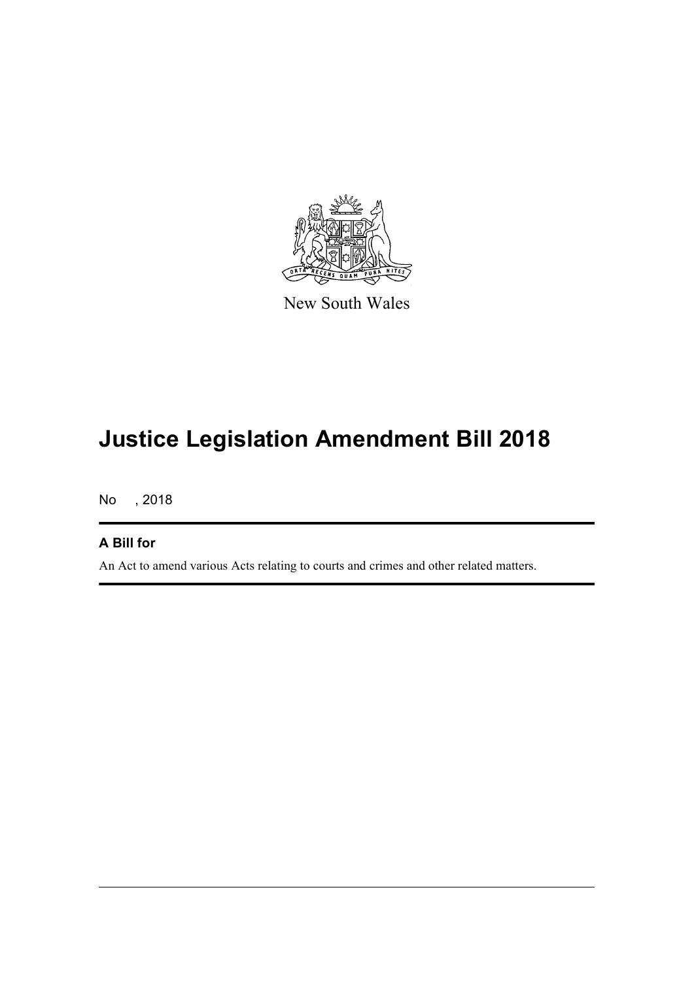

New South Wales

# **Justice Legislation Amendment Bill 2018**

No , 2018

### **A Bill for**

An Act to amend various Acts relating to courts and crimes and other related matters.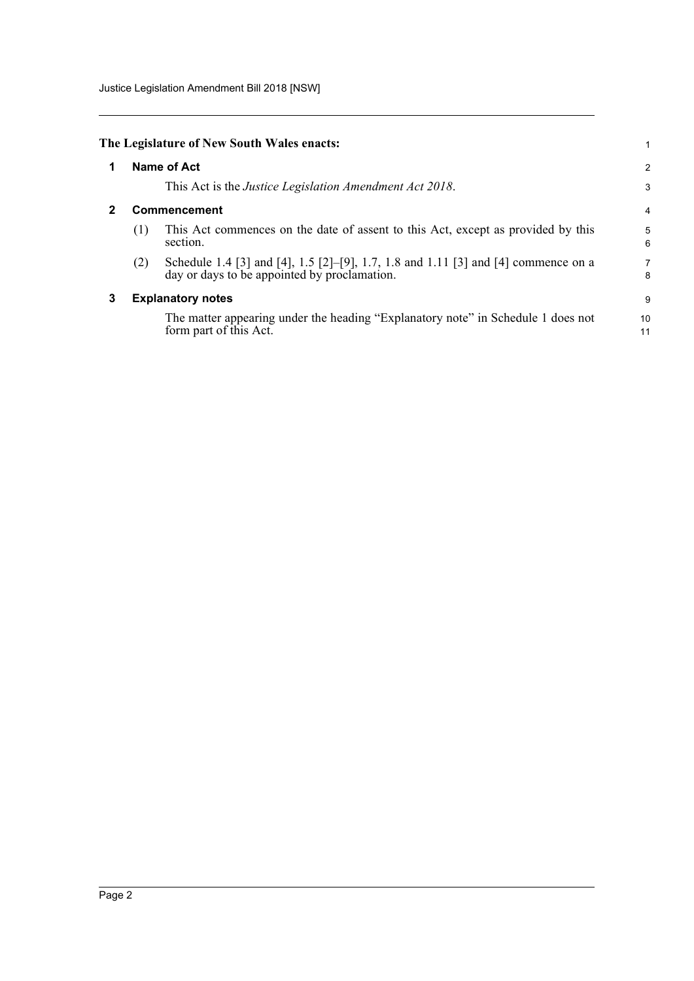Justice Legislation Amendment Bill 2018 [NSW]

<span id="page-4-2"></span><span id="page-4-1"></span><span id="page-4-0"></span>

|   |                          | The Legislature of New South Wales enacts:                                                                                         | 1              |
|---|--------------------------|------------------------------------------------------------------------------------------------------------------------------------|----------------|
| 1 |                          | <b>Name of Act</b>                                                                                                                 | $\overline{a}$ |
|   |                          | This Act is the <i>Justice Legislation Amendment Act 2018</i> .                                                                    | 3              |
|   | Commencement             |                                                                                                                                    |                |
|   | (1)                      | This Act commences on the date of assent to this Act, except as provided by this<br>section.                                       | 5<br>6         |
|   | (2)                      | Schedule 1.4 [3] and [4], 1.5 [2]–[9], 1.7, 1.8 and 1.11 [3] and [4] commence on a<br>day or days to be appointed by proclamation. | 7<br>8         |
| 3 | <b>Explanatory notes</b> |                                                                                                                                    |                |
|   |                          | The matter appearing under the heading "Explanatory note" in Schedule 1 does not<br>form part of this Act.                         | 10<br>11       |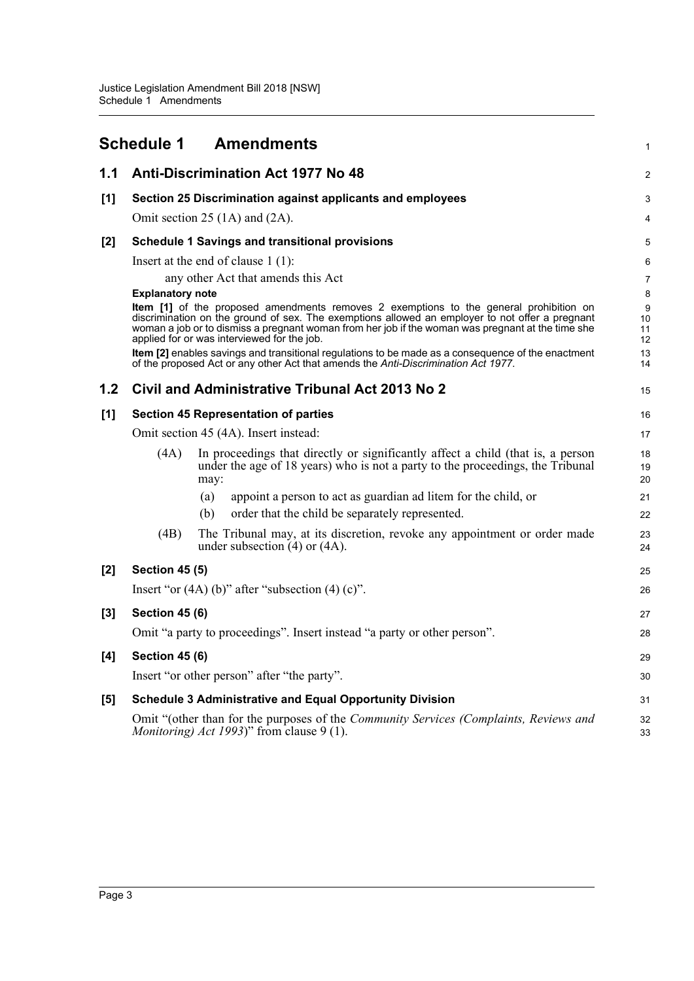<span id="page-5-0"></span>

|       | <b>Schedule 1</b>                                                                                                                                                                                                                                                                                                                             | <b>Amendments</b>                                                                                                                                                                        | 1              |  |
|-------|-----------------------------------------------------------------------------------------------------------------------------------------------------------------------------------------------------------------------------------------------------------------------------------------------------------------------------------------------|------------------------------------------------------------------------------------------------------------------------------------------------------------------------------------------|----------------|--|
| 1.1   |                                                                                                                                                                                                                                                                                                                                               | <b>Anti-Discrimination Act 1977 No 48</b>                                                                                                                                                | 2              |  |
| [1]   |                                                                                                                                                                                                                                                                                                                                               | Section 25 Discrimination against applicants and employees                                                                                                                               | 3              |  |
|       |                                                                                                                                                                                                                                                                                                                                               | Omit section 25 $(1A)$ and $(2A)$ .                                                                                                                                                      | 4              |  |
| $[2]$ |                                                                                                                                                                                                                                                                                                                                               | <b>Schedule 1 Savings and transitional provisions</b>                                                                                                                                    | 5              |  |
|       |                                                                                                                                                                                                                                                                                                                                               | Insert at the end of clause $1(1)$ :                                                                                                                                                     | 6              |  |
|       |                                                                                                                                                                                                                                                                                                                                               | any other Act that amends this Act                                                                                                                                                       | 7              |  |
|       | <b>Explanatory note</b>                                                                                                                                                                                                                                                                                                                       |                                                                                                                                                                                          | 8              |  |
|       | Item [1] of the proposed amendments removes 2 exemptions to the general prohibition on<br>discrimination on the ground of sex. The exemptions allowed an employer to not offer a pregnant<br>woman a job or to dismiss a pregnant woman from her job if the woman was pregnant at the time she<br>applied for or was interviewed for the job. |                                                                                                                                                                                          |                |  |
|       |                                                                                                                                                                                                                                                                                                                                               | Item [2] enables savings and transitional regulations to be made as a consequence of the enactment<br>of the proposed Act or any other Act that amends the Anti-Discrimination Act 1977. | 13<br>14       |  |
| 1.2   |                                                                                                                                                                                                                                                                                                                                               | Civil and Administrative Tribunal Act 2013 No 2                                                                                                                                          | 15             |  |
| [1]   |                                                                                                                                                                                                                                                                                                                                               | <b>Section 45 Representation of parties</b>                                                                                                                                              | 16             |  |
|       |                                                                                                                                                                                                                                                                                                                                               | Omit section 45 (4A). Insert instead:                                                                                                                                                    | 17             |  |
|       | (4A)                                                                                                                                                                                                                                                                                                                                          | In proceedings that directly or significantly affect a child (that is, a person<br>under the age of 18 years) who is not a party to the proceedings, the Tribunal<br>may:                | 18<br>19<br>20 |  |
|       |                                                                                                                                                                                                                                                                                                                                               | appoint a person to act as guardian ad litem for the child, or<br>(a)                                                                                                                    | 21             |  |
|       |                                                                                                                                                                                                                                                                                                                                               | order that the child be separately represented.<br>(b)                                                                                                                                   | 22             |  |
|       | (4B)                                                                                                                                                                                                                                                                                                                                          | The Tribunal may, at its discretion, revoke any appointment or order made<br>under subsection $(4)$ or $(4A)$ .                                                                          | 23<br>24       |  |
| $[2]$ | <b>Section 45 (5)</b>                                                                                                                                                                                                                                                                                                                         |                                                                                                                                                                                          |                |  |
|       |                                                                                                                                                                                                                                                                                                                                               | Insert "or $(4A)$ (b)" after "subsection $(4)$ (c)".                                                                                                                                     | 26             |  |
| $[3]$ | <b>Section 45 (6)</b>                                                                                                                                                                                                                                                                                                                         |                                                                                                                                                                                          | 27             |  |
|       |                                                                                                                                                                                                                                                                                                                                               | Omit "a party to proceedings". Insert instead "a party or other person".                                                                                                                 | 28             |  |
| $[4]$ | <b>Section 45 (6)</b>                                                                                                                                                                                                                                                                                                                         |                                                                                                                                                                                          | 29             |  |
|       |                                                                                                                                                                                                                                                                                                                                               | Insert "or other person" after "the party".                                                                                                                                              | 30             |  |
| $[5]$ |                                                                                                                                                                                                                                                                                                                                               | <b>Schedule 3 Administrative and Equal Opportunity Division</b>                                                                                                                          | 31             |  |
|       |                                                                                                                                                                                                                                                                                                                                               | Omit "(other than for the purposes of the <i>Community Services (Complaints, Reviews and</i><br><i>Monitoring) Act 1993</i> )" from clause 9 (1).                                        | 32<br>33       |  |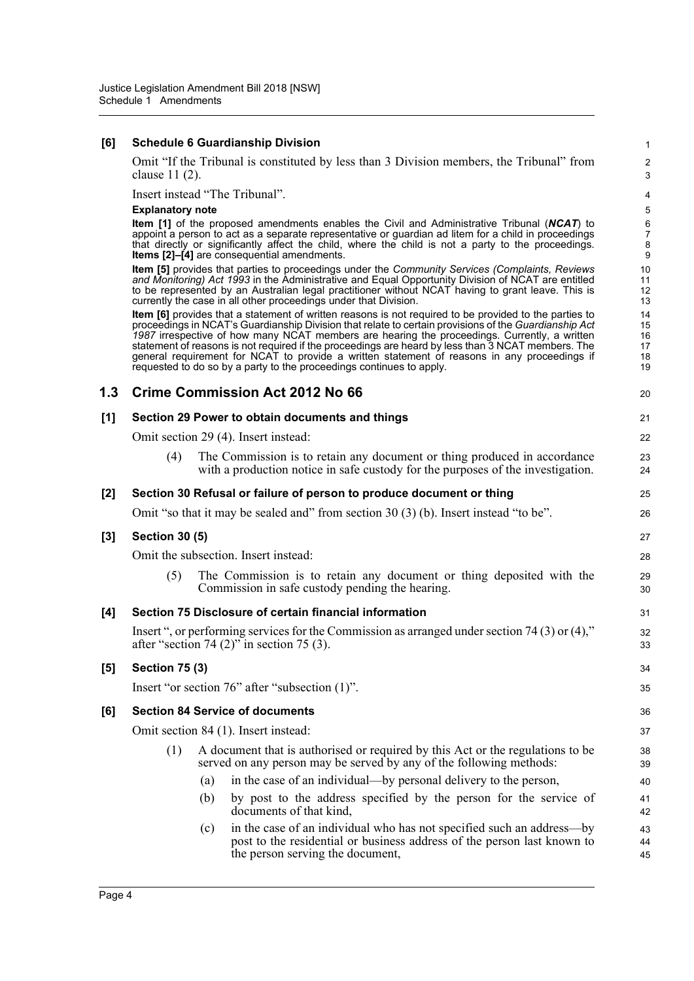#### **[6] Schedule 6 Guardianship Division**

Omit "If the Tribunal is constituted by less than 3 Division members, the Tribunal" from clause 11 (2).

Insert instead "The Tribunal".

#### **Explanatory note**

**Item [1]** of the proposed amendments enables the Civil and Administrative Tribunal (*NCAT*) to appoint a person to act as a separate representative or guardian ad litem for a child in proceedings that directly or significantly affect the child, where the child is not a party to the proceedings. **Items [2]-[4]** are consequential amendments.

**Item [5]** provides that parties to proceedings under the *Community Services (Complaints, Reviews and Monitoring) Act 1993* in the Administrative and Equal Opportunity Division of NCAT are entitled to be represented by an Australian legal practitioner without NCAT having to grant leave. This is currently the case in all other proceedings under that Division.

**Item [6]** provides that a statement of written reasons is not required to be provided to the parties to proceedings in NCAT's Guardianship Division that relate to certain provisions of the *Guardianship Act 1987* irrespective of how many NCAT members are hearing the proceedings. Currently, a written statement of reasons is not required if the proceedings are heard by less than 3 NCAT members. The general requirement for NCAT to provide a written statement of reasons in any proceedings if requested to do so by a party to the proceedings continues to apply.

| 1.3   |                                                                                       | <b>Crime Commission Act 2012 No 66</b>                                                                                                                                                      | 20             |  |  |
|-------|---------------------------------------------------------------------------------------|---------------------------------------------------------------------------------------------------------------------------------------------------------------------------------------------|----------------|--|--|
| [1]   | Section 29 Power to obtain documents and things                                       |                                                                                                                                                                                             |                |  |  |
|       | Omit section 29 (4). Insert instead:                                                  |                                                                                                                                                                                             |                |  |  |
|       | (4)                                                                                   | The Commission is to retain any document or thing produced in accordance<br>with a production notice in safe custody for the purposes of the investigation.                                 | 23<br>24       |  |  |
| [2]   |                                                                                       | Section 30 Refusal or failure of person to produce document or thing                                                                                                                        | 25             |  |  |
|       | Omit "so that it may be sealed and" from section $30(3)$ (b). Insert instead "to be". |                                                                                                                                                                                             |                |  |  |
| $[3]$ | <b>Section 30 (5)</b>                                                                 |                                                                                                                                                                                             |                |  |  |
|       | Omit the subsection. Insert instead:                                                  |                                                                                                                                                                                             |                |  |  |
|       | (5)                                                                                   | The Commission is to retain any document or thing deposited with the<br>Commission in safe custody pending the hearing.                                                                     | 29<br>30       |  |  |
| [4]   |                                                                                       | Section 75 Disclosure of certain financial information                                                                                                                                      | 31             |  |  |
|       |                                                                                       | Insert ", or performing services for the Commission as arranged under section 74 (3) or $(4)$ ,"<br>after "section 74 $(2)$ " in section 75 $(3)$ .                                         | 32<br>33       |  |  |
| [5]   | <b>Section 75 (3)</b>                                                                 |                                                                                                                                                                                             | 34             |  |  |
|       |                                                                                       | Insert "or section 76" after "subsection (1)".                                                                                                                                              | 35             |  |  |
| [6]   | <b>Section 84 Service of documents</b>                                                |                                                                                                                                                                                             |                |  |  |
|       | Omit section 84 (1). Insert instead:                                                  |                                                                                                                                                                                             |                |  |  |
|       | (1)                                                                                   | A document that is authorised or required by this Act or the regulations to be<br>served on any person may be served by any of the following methods:                                       | 38<br>39       |  |  |
|       |                                                                                       | in the case of an individual—by personal delivery to the person,<br>(a)                                                                                                                     | 40             |  |  |
|       |                                                                                       | by post to the address specified by the person for the service of<br>(b)<br>documents of that kind,                                                                                         | 41<br>42       |  |  |
|       |                                                                                       | in the case of an individual who has not specified such an address—by<br>(c)<br>post to the residential or business address of the person last known to<br>the person serving the document, | 43<br>44<br>45 |  |  |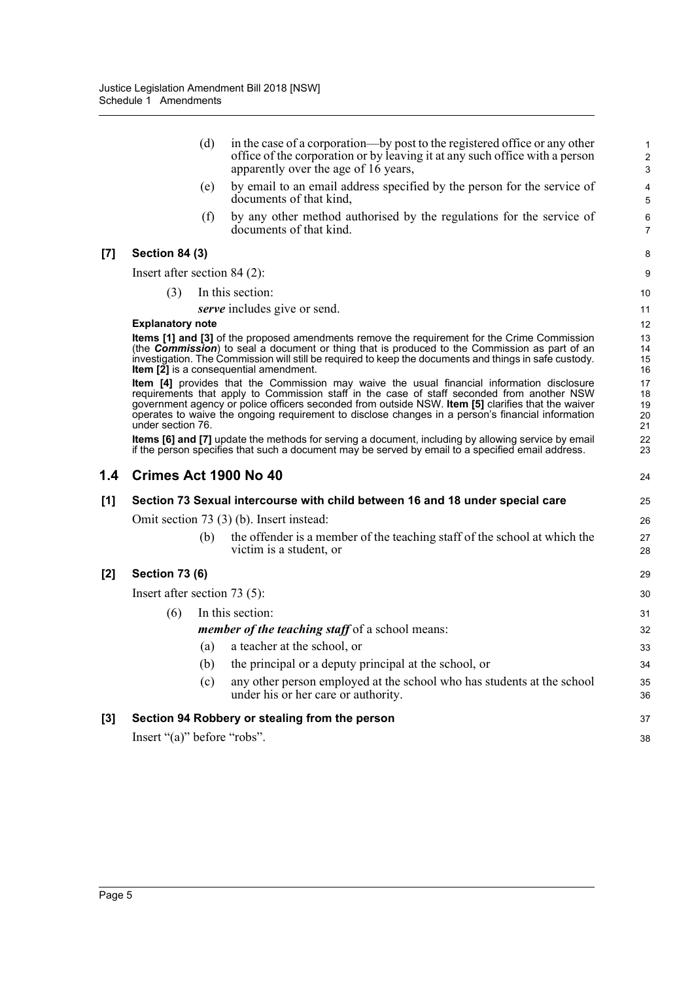|       |                                | (d) | in the case of a corporation—by post to the registered office or any other<br>office of the corporation or by leaving it at any such office with a person<br>apparently over the age of 16 years,                                                                                                                                                                                                   | $\mathbf{1}$<br>$\overline{2}$<br>3 |
|-------|--------------------------------|-----|-----------------------------------------------------------------------------------------------------------------------------------------------------------------------------------------------------------------------------------------------------------------------------------------------------------------------------------------------------------------------------------------------------|-------------------------------------|
|       |                                | (e) | by email to an email address specified by the person for the service of<br>documents of that kind,                                                                                                                                                                                                                                                                                                  | 4<br>5                              |
|       |                                | (f) | by any other method authorised by the regulations for the service of<br>documents of that kind.                                                                                                                                                                                                                                                                                                     | 6<br>$\overline{7}$                 |
| $[7]$ | <b>Section 84 (3)</b>          |     |                                                                                                                                                                                                                                                                                                                                                                                                     | 8                                   |
|       | Insert after section 84 (2):   |     |                                                                                                                                                                                                                                                                                                                                                                                                     | 9                                   |
|       | (3)                            |     | In this section:                                                                                                                                                                                                                                                                                                                                                                                    | 10                                  |
|       |                                |     | serve includes give or send.                                                                                                                                                                                                                                                                                                                                                                        | 11                                  |
|       | <b>Explanatory note</b>        |     |                                                                                                                                                                                                                                                                                                                                                                                                     | 12                                  |
|       |                                |     | <b>Items [1] and [3]</b> of the proposed amendments remove the requirement for the Crime Commission<br>(the <b>Commission</b> ) to seal a document or thing that is produced to the Commission as part of an<br>investigation. The Commission will still be required to keep the documents and things in safe custody.<br><b>Item <math>[\tilde{2}]</math></b> is a consequential amendment.        | 13<br>14<br>15<br>16                |
|       | under section 76.              |     | Item [4] provides that the Commission may waive the usual financial information disclosure<br>requirements that apply to Commission staff in the case of staff seconded from another NSW<br>government agency or police officers seconded from outside NSW. Item [5] clarifies that the waiver<br>operates to waive the ongoing requirement to disclose changes in a person's financial information | 17<br>18<br>19<br>20<br>21          |
|       |                                |     | Items [6] and [7] update the methods for serving a document, including by allowing service by email<br>if the person specifies that such a document may be served by email to a specified email address.                                                                                                                                                                                            | 22<br>23                            |
| 1.4   |                                |     | Crimes Act 1900 No 40                                                                                                                                                                                                                                                                                                                                                                               | 24                                  |
|       |                                |     |                                                                                                                                                                                                                                                                                                                                                                                                     |                                     |
| [1]   |                                |     | Section 73 Sexual intercourse with child between 16 and 18 under special care                                                                                                                                                                                                                                                                                                                       | 25                                  |
|       |                                |     | Omit section 73 (3) (b). Insert instead:                                                                                                                                                                                                                                                                                                                                                            | 26                                  |
|       |                                | (b) | the offender is a member of the teaching staff of the school at which the<br>victim is a student, or                                                                                                                                                                                                                                                                                                | 27<br>28                            |
| $[2]$ | <b>Section 73 (6)</b>          |     |                                                                                                                                                                                                                                                                                                                                                                                                     | 29                                  |
|       | Insert after section $73(5)$ : |     |                                                                                                                                                                                                                                                                                                                                                                                                     | 30                                  |
|       | (6)                            |     | In this section:                                                                                                                                                                                                                                                                                                                                                                                    | 31                                  |
|       |                                |     | member of the teaching staff of a school means:                                                                                                                                                                                                                                                                                                                                                     | 32                                  |
|       |                                | (a) | a teacher at the school, or                                                                                                                                                                                                                                                                                                                                                                         | 33                                  |
|       |                                | (b) | the principal or a deputy principal at the school, or                                                                                                                                                                                                                                                                                                                                               | 34                                  |
|       |                                | (c) | any other person employed at the school who has students at the school<br>under his or her care or authority.                                                                                                                                                                                                                                                                                       | 35<br>36                            |
| $[3]$ |                                |     | Section 94 Robbery or stealing from the person                                                                                                                                                                                                                                                                                                                                                      | 37                                  |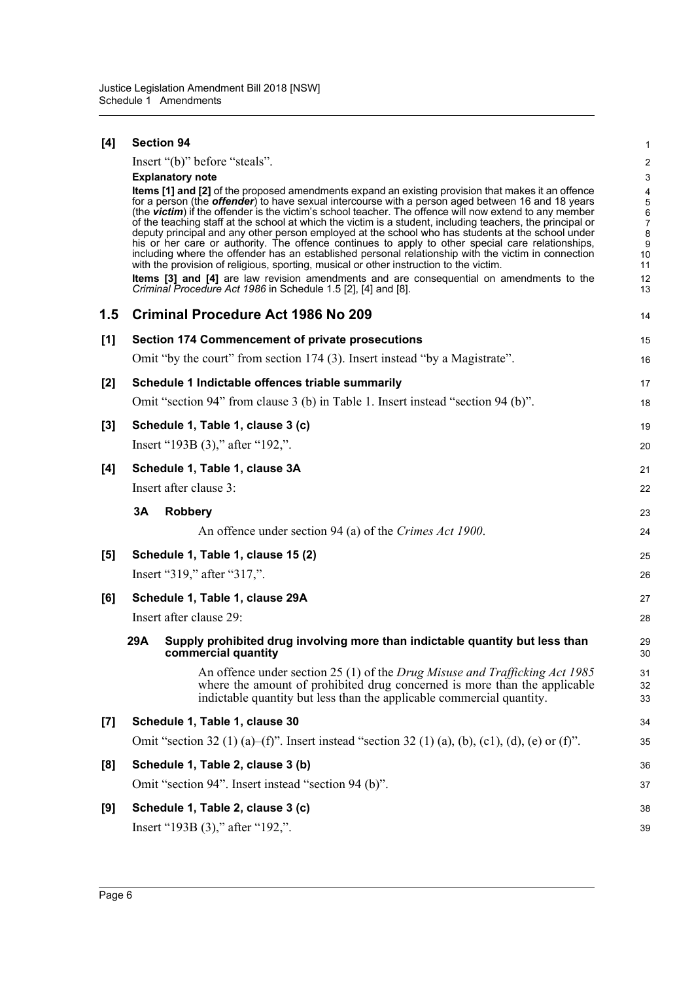| [4]   | <b>Section 94</b>                                                                                                                                                                                                                                                                                                                                                                                                                                                                                                                                                                                                                                                                                                                                                                                                                                                                                                                                                                                                                                 | 1                                                                                                             |
|-------|---------------------------------------------------------------------------------------------------------------------------------------------------------------------------------------------------------------------------------------------------------------------------------------------------------------------------------------------------------------------------------------------------------------------------------------------------------------------------------------------------------------------------------------------------------------------------------------------------------------------------------------------------------------------------------------------------------------------------------------------------------------------------------------------------------------------------------------------------------------------------------------------------------------------------------------------------------------------------------------------------------------------------------------------------|---------------------------------------------------------------------------------------------------------------|
|       | Insert "(b)" before "steals".                                                                                                                                                                                                                                                                                                                                                                                                                                                                                                                                                                                                                                                                                                                                                                                                                                                                                                                                                                                                                     | $\boldsymbol{2}$                                                                                              |
|       | <b>Explanatory note</b><br>Items [1] and [2] of the proposed amendments expand an existing provision that makes it an offence<br>for a person (the <b>offender</b> ) to have sexual intercourse with a person aged between 16 and 18 years<br>(the victim) if the offender is the victim's school teacher. The offence will now extend to any member<br>of the teaching staff at the school at which the victim is a student, including teachers, the principal or<br>deputy principal and any other person employed at the school who has students at the school under<br>his or her care or authority. The offence continues to apply to other special care relationships,<br>including where the offender has an established personal relationship with the victim in connection<br>with the provision of religious, sporting, musical or other instruction to the victim.<br><b>Items</b> [3] and [4] are law revision amendments and are consequential on amendments to the<br>Criminal Procedure Act 1986 in Schedule 1.5 [2], [4] and [8]. | $\ensuremath{\mathsf{3}}$<br>4<br>5<br>6<br>$\boldsymbol{7}$<br>8<br>$\boldsymbol{9}$<br>10<br>11<br>12<br>13 |
| 1.5   | <b>Criminal Procedure Act 1986 No 209</b>                                                                                                                                                                                                                                                                                                                                                                                                                                                                                                                                                                                                                                                                                                                                                                                                                                                                                                                                                                                                         | 14                                                                                                            |
| [1]   | <b>Section 174 Commencement of private prosecutions</b>                                                                                                                                                                                                                                                                                                                                                                                                                                                                                                                                                                                                                                                                                                                                                                                                                                                                                                                                                                                           | 15                                                                                                            |
|       | Omit "by the court" from section 174 (3). Insert instead "by a Magistrate".                                                                                                                                                                                                                                                                                                                                                                                                                                                                                                                                                                                                                                                                                                                                                                                                                                                                                                                                                                       | 16                                                                                                            |
| [2]   | Schedule 1 Indictable offences triable summarily                                                                                                                                                                                                                                                                                                                                                                                                                                                                                                                                                                                                                                                                                                                                                                                                                                                                                                                                                                                                  | 17                                                                                                            |
|       | Omit "section 94" from clause 3 (b) in Table 1. Insert instead "section 94 (b)".                                                                                                                                                                                                                                                                                                                                                                                                                                                                                                                                                                                                                                                                                                                                                                                                                                                                                                                                                                  | 18                                                                                                            |
| $[3]$ | Schedule 1, Table 1, clause 3 (c)                                                                                                                                                                                                                                                                                                                                                                                                                                                                                                                                                                                                                                                                                                                                                                                                                                                                                                                                                                                                                 | 19                                                                                                            |
|       | Insert "193B (3)," after "192,".                                                                                                                                                                                                                                                                                                                                                                                                                                                                                                                                                                                                                                                                                                                                                                                                                                                                                                                                                                                                                  | 20                                                                                                            |
| [4]   | Schedule 1, Table 1, clause 3A                                                                                                                                                                                                                                                                                                                                                                                                                                                                                                                                                                                                                                                                                                                                                                                                                                                                                                                                                                                                                    | 21                                                                                                            |
|       | Insert after clause 3:                                                                                                                                                                                                                                                                                                                                                                                                                                                                                                                                                                                                                                                                                                                                                                                                                                                                                                                                                                                                                            | 22                                                                                                            |
|       | 3A<br><b>Robbery</b>                                                                                                                                                                                                                                                                                                                                                                                                                                                                                                                                                                                                                                                                                                                                                                                                                                                                                                                                                                                                                              | 23                                                                                                            |
|       | An offence under section 94 (a) of the Crimes Act 1900.                                                                                                                                                                                                                                                                                                                                                                                                                                                                                                                                                                                                                                                                                                                                                                                                                                                                                                                                                                                           | 24                                                                                                            |
| [5]   | Schedule 1, Table 1, clause 15 (2)                                                                                                                                                                                                                                                                                                                                                                                                                                                                                                                                                                                                                                                                                                                                                                                                                                                                                                                                                                                                                | 25                                                                                                            |
|       | Insert "319," after "317,".                                                                                                                                                                                                                                                                                                                                                                                                                                                                                                                                                                                                                                                                                                                                                                                                                                                                                                                                                                                                                       | 26                                                                                                            |
| [6]   | Schedule 1, Table 1, clause 29A                                                                                                                                                                                                                                                                                                                                                                                                                                                                                                                                                                                                                                                                                                                                                                                                                                                                                                                                                                                                                   | 27                                                                                                            |
|       | Insert after clause 29:                                                                                                                                                                                                                                                                                                                                                                                                                                                                                                                                                                                                                                                                                                                                                                                                                                                                                                                                                                                                                           | 28                                                                                                            |
|       | 29A<br>Supply prohibited drug involving more than indictable quantity but less than<br>commercial quantity                                                                                                                                                                                                                                                                                                                                                                                                                                                                                                                                                                                                                                                                                                                                                                                                                                                                                                                                        | 29<br>30                                                                                                      |
|       | An offence under section 25 (1) of the Drug Misuse and Trafficking Act 1985<br>where the amount of prohibited drug concerned is more than the applicable<br>indictable quantity but less than the applicable commercial quantity.                                                                                                                                                                                                                                                                                                                                                                                                                                                                                                                                                                                                                                                                                                                                                                                                                 | 31<br>32<br>33                                                                                                |
| $[7]$ | Schedule 1, Table 1, clause 30                                                                                                                                                                                                                                                                                                                                                                                                                                                                                                                                                                                                                                                                                                                                                                                                                                                                                                                                                                                                                    | 34                                                                                                            |
|       | Omit "section 32 (1) (a)–(f)". Insert instead "section 32 (1) (a), (b), (c1), (d), (e) or (f)".                                                                                                                                                                                                                                                                                                                                                                                                                                                                                                                                                                                                                                                                                                                                                                                                                                                                                                                                                   | 35                                                                                                            |
| [8]   | Schedule 1, Table 2, clause 3 (b)                                                                                                                                                                                                                                                                                                                                                                                                                                                                                                                                                                                                                                                                                                                                                                                                                                                                                                                                                                                                                 | 36                                                                                                            |
|       | Omit "section 94". Insert instead "section 94 (b)".                                                                                                                                                                                                                                                                                                                                                                                                                                                                                                                                                                                                                                                                                                                                                                                                                                                                                                                                                                                               | 37                                                                                                            |
| [9]   | Schedule 1, Table 2, clause 3 (c)                                                                                                                                                                                                                                                                                                                                                                                                                                                                                                                                                                                                                                                                                                                                                                                                                                                                                                                                                                                                                 | 38                                                                                                            |
|       | Insert "193B (3)," after "192,".                                                                                                                                                                                                                                                                                                                                                                                                                                                                                                                                                                                                                                                                                                                                                                                                                                                                                                                                                                                                                  | 39                                                                                                            |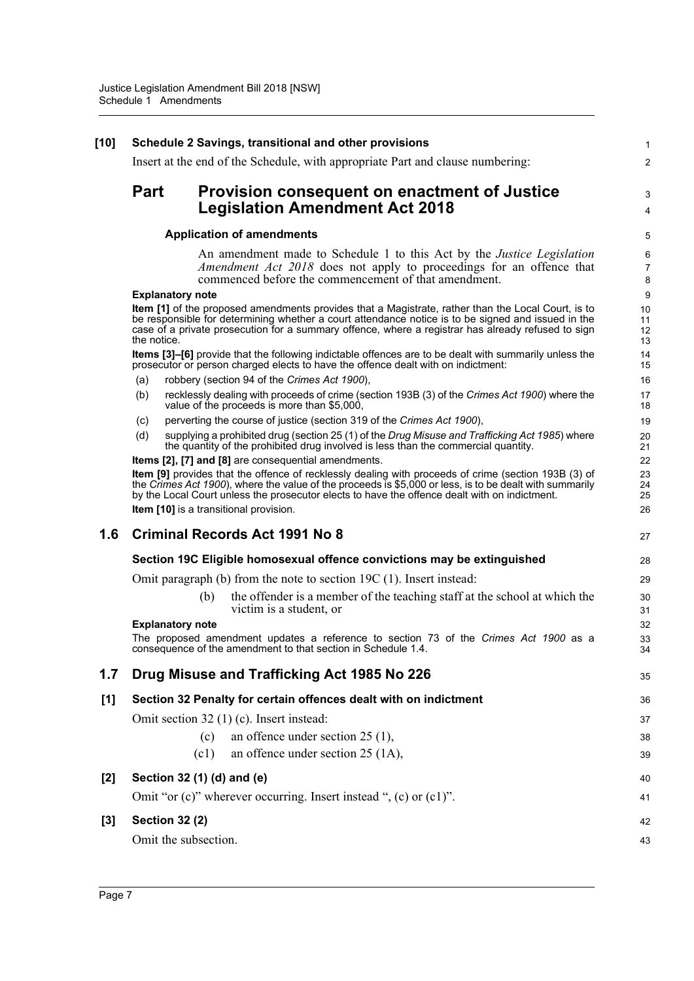| $[10]$ | Schedule 2 Savings, transitional and other provisions |                                                                                                                                                                                                                                                                                                                                                                                                                                  |                            |  |  |
|--------|-------------------------------------------------------|----------------------------------------------------------------------------------------------------------------------------------------------------------------------------------------------------------------------------------------------------------------------------------------------------------------------------------------------------------------------------------------------------------------------------------|----------------------------|--|--|
|        |                                                       | Insert at the end of the Schedule, with appropriate Part and clause numbering:                                                                                                                                                                                                                                                                                                                                                   | $\overline{2}$             |  |  |
|        | <b>Part</b>                                           | <b>Provision consequent on enactment of Justice</b><br><b>Legislation Amendment Act 2018</b>                                                                                                                                                                                                                                                                                                                                     | 3<br>4                     |  |  |
|        | <b>Application of amendments</b>                      |                                                                                                                                                                                                                                                                                                                                                                                                                                  |                            |  |  |
|        |                                                       | An amendment made to Schedule 1 to this Act by the <i>Justice Legislation</i><br>Amendment Act 2018 does not apply to proceedings for an offence that<br>commenced before the commencement of that amendment.                                                                                                                                                                                                                    | 6<br>$\overline{7}$<br>8   |  |  |
|        | <b>Explanatory note</b>                               |                                                                                                                                                                                                                                                                                                                                                                                                                                  | $\boldsymbol{9}$           |  |  |
|        | the notice.                                           | Item [1] of the proposed amendments provides that a Magistrate, rather than the Local Court, is to<br>be responsible for determining whether a court attendance notice is to be signed and issued in the<br>case of a private prosecution for a summary offence, where a registrar has already refused to sign                                                                                                                   | 10<br>11<br>12<br>13       |  |  |
|        |                                                       | <b>Items [3]–[6]</b> provide that the following indictable offences are to be dealt with summarily unless the<br>prosecutor or person charged elects to have the offence dealt with on indictment:                                                                                                                                                                                                                               | 14<br>15                   |  |  |
|        | (a)<br>(b)                                            | robbery (section 94 of the Crimes Act 1900),<br>recklessly dealing with proceeds of crime (section 193B (3) of the Crimes Act 1900) where the<br>value of the proceeds is more than \$5,000,                                                                                                                                                                                                                                     | 16<br>17<br>18             |  |  |
|        | (c)                                                   | perverting the course of justice (section 319 of the Crimes Act 1900),                                                                                                                                                                                                                                                                                                                                                           | 19                         |  |  |
|        | (d)                                                   | supplying a prohibited drug (section 25 (1) of the Drug Misuse and Trafficking Act 1985) where<br>the quantity of the prohibited drug involved is less than the commercial quantity.                                                                                                                                                                                                                                             | 20<br>21                   |  |  |
|        |                                                       | <b>Items [2], [7] and [8]</b> are consequential amendments.<br>Item [9] provides that the offence of recklessly dealing with proceeds of crime (section 193B (3) of<br>the Crimes Act 1900), where the value of the proceeds is \$5,000 or less, is to be dealt with summarily<br>by the Local Court unless the prosecutor elects to have the offence dealt with on indictment.<br><b>Item [10]</b> is a transitional provision. | 22<br>23<br>24<br>25<br>26 |  |  |
| 1.6    |                                                       | <b>Criminal Records Act 1991 No 8</b>                                                                                                                                                                                                                                                                                                                                                                                            | 27                         |  |  |
|        |                                                       | Section 19C Eligible homosexual offence convictions may be extinguished                                                                                                                                                                                                                                                                                                                                                          | 28                         |  |  |
|        |                                                       | Omit paragraph $(b)$ from the note to section 19C $(1)$ . Insert instead:                                                                                                                                                                                                                                                                                                                                                        | 29                         |  |  |
|        |                                                       | the offender is a member of the teaching staff at the school at which the<br>(b)<br>victim is a student, or                                                                                                                                                                                                                                                                                                                      | 30<br>31                   |  |  |
|        | <b>Explanatory note</b>                               | The proposed amendment updates a reference to section 73 of the Crimes Act 1900 as a<br>consequence of the amendment to that section in Schedule 1.4.                                                                                                                                                                                                                                                                            | 32<br>33<br>34             |  |  |
| 1.7    |                                                       | Drug Misuse and Trafficking Act 1985 No 226                                                                                                                                                                                                                                                                                                                                                                                      | 35                         |  |  |
| [1]    |                                                       | Section 32 Penalty for certain offences dealt with on indictment                                                                                                                                                                                                                                                                                                                                                                 | 36                         |  |  |
|        |                                                       | Omit section 32 (1) (c). Insert instead:                                                                                                                                                                                                                                                                                                                                                                                         | 37                         |  |  |
|        |                                                       | an offence under section $25(1)$ ,<br>(c)                                                                                                                                                                                                                                                                                                                                                                                        | 38                         |  |  |
|        |                                                       | an offence under section 25 (1A),<br>(c1)                                                                                                                                                                                                                                                                                                                                                                                        | 39                         |  |  |
| $[2]$  |                                                       | Section 32 (1) (d) and (e)                                                                                                                                                                                                                                                                                                                                                                                                       | 40                         |  |  |
|        |                                                       | Omit "or $(c)$ " wherever occurring. Insert instead ", $(c)$ or $(c)$ ".                                                                                                                                                                                                                                                                                                                                                         | 41                         |  |  |
| $[3]$  | <b>Section 32 (2)</b>                                 |                                                                                                                                                                                                                                                                                                                                                                                                                                  | 42                         |  |  |
|        |                                                       | Omit the subsection.                                                                                                                                                                                                                                                                                                                                                                                                             | 43                         |  |  |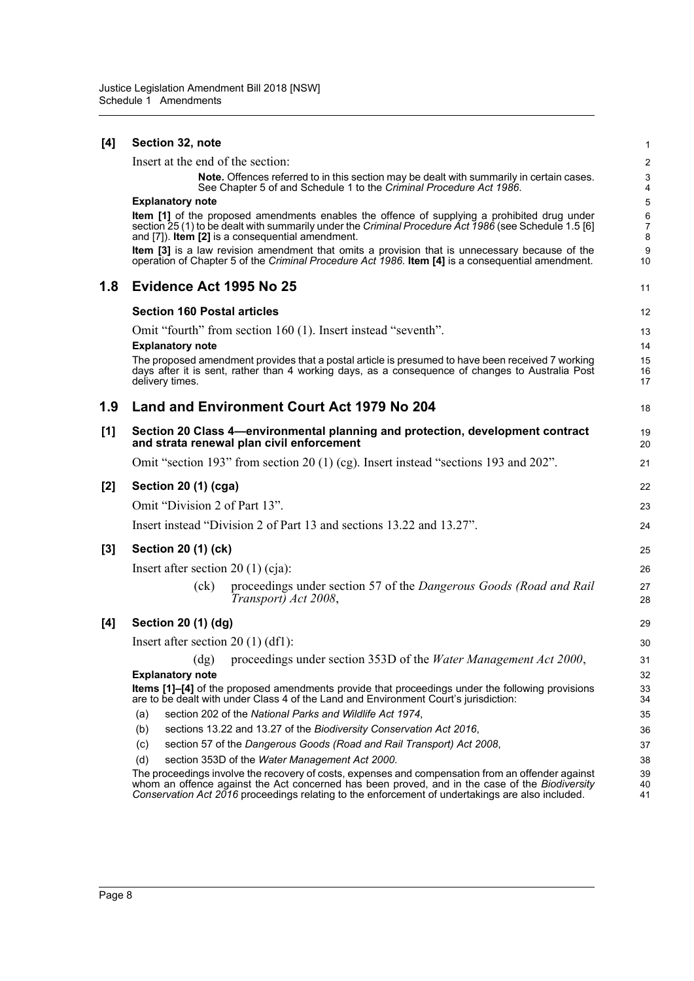| [4]   | Section 32, note                                                                                                                                                                                                                                                                                        | 1                        |  |  |  |
|-------|---------------------------------------------------------------------------------------------------------------------------------------------------------------------------------------------------------------------------------------------------------------------------------------------------------|--------------------------|--|--|--|
|       | Insert at the end of the section:                                                                                                                                                                                                                                                                       | 2                        |  |  |  |
|       | Note. Offences referred to in this section may be dealt with summarily in certain cases.<br>See Chapter 5 of and Schedule 1 to the Criminal Procedure Act 1986.                                                                                                                                         | 3<br>4                   |  |  |  |
|       | <b>Explanatory note</b>                                                                                                                                                                                                                                                                                 | 5                        |  |  |  |
|       | <b>Item [1]</b> of the proposed amendments enables the offence of supplying a prohibited drug under<br>section 25 (1) to be dealt with summarily under the Criminal Procedure Act 1986 (see Schedule 1.5 [6]<br>and [7]). Item [2] is a consequential amendment.                                        | 6<br>$\overline{7}$<br>8 |  |  |  |
|       | Item [3] is a law revision amendment that omits a provision that is unnecessary because of the<br>operation of Chapter 5 of the Criminal Procedure Act 1986. Item [4] is a consequential amendment.                                                                                                     | 9<br>10                  |  |  |  |
| 1.8   | Evidence Act 1995 No 25                                                                                                                                                                                                                                                                                 | 11                       |  |  |  |
|       | <b>Section 160 Postal articles</b>                                                                                                                                                                                                                                                                      | 12                       |  |  |  |
|       | Omit "fourth" from section 160 (1). Insert instead "seventh".                                                                                                                                                                                                                                           | 13                       |  |  |  |
|       | <b>Explanatory note</b>                                                                                                                                                                                                                                                                                 | 14                       |  |  |  |
|       | The proposed amendment provides that a postal article is presumed to have been received 7 working<br>days after it is sent, rather than 4 working days, as a consequence of changes to Australia Post<br>delivery times.                                                                                | 15<br>16<br>17           |  |  |  |
| 1.9   | Land and Environment Court Act 1979 No 204                                                                                                                                                                                                                                                              | 18                       |  |  |  |
| [1]   | Section 20 Class 4—environmental planning and protection, development contract<br>and strata renewal plan civil enforcement                                                                                                                                                                             | 19<br>20                 |  |  |  |
|       | Omit "section 193" from section 20 (1) (cg). Insert instead "sections 193 and 202".                                                                                                                                                                                                                     | 21                       |  |  |  |
| [2]   | Section 20 (1) (cga)                                                                                                                                                                                                                                                                                    | 22                       |  |  |  |
|       | Omit "Division 2 of Part 13".                                                                                                                                                                                                                                                                           | 23                       |  |  |  |
|       | Insert instead "Division 2 of Part 13 and sections 13.22 and 13.27".                                                                                                                                                                                                                                    | 24                       |  |  |  |
| $[3]$ | Section 20 (1) (ck)                                                                                                                                                                                                                                                                                     |                          |  |  |  |
|       | Insert after section $20(1)(cja)$ :                                                                                                                                                                                                                                                                     | 26                       |  |  |  |
|       | proceedings under section 57 of the Dangerous Goods (Road and Rail<br>(ck)<br>Transport) Act 2008,                                                                                                                                                                                                      | 27<br>28                 |  |  |  |
| [4]   | Section 20 (1) (dg)                                                                                                                                                                                                                                                                                     | 29                       |  |  |  |
|       | Insert after section $20(1)(df)$ :                                                                                                                                                                                                                                                                      | 30                       |  |  |  |
|       | (dg) proceedings under section 353D of the Water Management Act 2000,                                                                                                                                                                                                                                   | 31                       |  |  |  |
|       | <b>Explanatory note</b>                                                                                                                                                                                                                                                                                 | 32                       |  |  |  |
|       | Items [1]-[4] of the proposed amendments provide that proceedings under the following provisions<br>are to be dealt with under Class 4 of the Land and Environment Court's jurisdiction:                                                                                                                | 33<br>34                 |  |  |  |
|       | section 202 of the National Parks and Wildlife Act 1974,<br>(a)                                                                                                                                                                                                                                         | 35                       |  |  |  |
|       | sections 13.22 and 13.27 of the Biodiversity Conservation Act 2016,<br>(b)                                                                                                                                                                                                                              | 36                       |  |  |  |
|       | (c)<br>section 57 of the Dangerous Goods (Road and Rail Transport) Act 2008,                                                                                                                                                                                                                            | 37                       |  |  |  |
|       | (d)<br>section 353D of the Water Management Act 2000.                                                                                                                                                                                                                                                   | 38                       |  |  |  |
|       | The proceedings involve the recovery of costs, expenses and compensation from an offender against<br>whom an offence against the Act concerned has been proved, and in the case of the Biodiversity<br>Conservation Act 2016 proceedings relating to the enforcement of undertakings are also included. | 39<br>40<br>41           |  |  |  |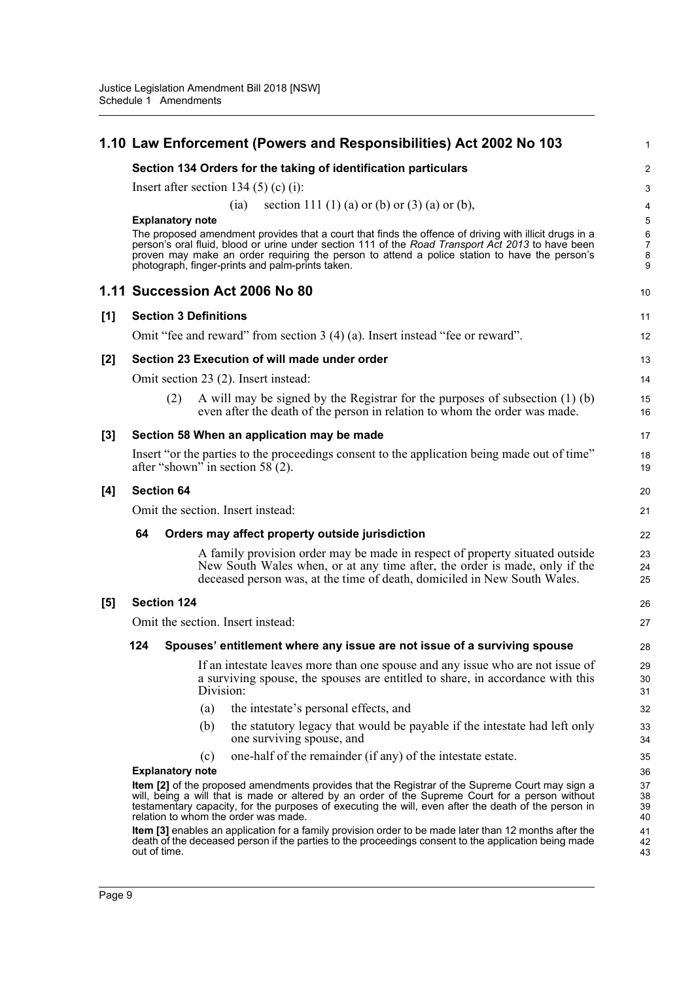|       |                                                                                                                                                                                                                                                                                                                                                     |                         |                              | 1.10 Law Enforcement (Powers and Responsibilities) Act 2002 No 103                                                                                                                                                                                                                                                                                               | 1                               |  |
|-------|-----------------------------------------------------------------------------------------------------------------------------------------------------------------------------------------------------------------------------------------------------------------------------------------------------------------------------------------------------|-------------------------|------------------------------|------------------------------------------------------------------------------------------------------------------------------------------------------------------------------------------------------------------------------------------------------------------------------------------------------------------------------------------------------------------|---------------------------------|--|
|       | Section 134 Orders for the taking of identification particulars                                                                                                                                                                                                                                                                                     |                         |                              |                                                                                                                                                                                                                                                                                                                                                                  |                                 |  |
|       | Insert after section 134 $(5)$ (c) (i):                                                                                                                                                                                                                                                                                                             |                         |                              |                                                                                                                                                                                                                                                                                                                                                                  |                                 |  |
|       |                                                                                                                                                                                                                                                                                                                                                     |                         |                              | section 111 (1) (a) or (b) or (3) (a) or (b),<br>(ia)                                                                                                                                                                                                                                                                                                            | 4                               |  |
|       |                                                                                                                                                                                                                                                                                                                                                     | <b>Explanatory note</b> |                              |                                                                                                                                                                                                                                                                                                                                                                  | 5                               |  |
|       |                                                                                                                                                                                                                                                                                                                                                     |                         |                              | The proposed amendment provides that a court that finds the offence of driving with illicit drugs in a<br>person's oral fluid, blood or urine under section 111 of the Road Transport Act 2013 to have been<br>proven may make an order requiring the person to attend a police station to have the person's<br>photograph, finger-prints and palm-prints taken. | 6<br>$\boldsymbol{7}$<br>8<br>9 |  |
|       |                                                                                                                                                                                                                                                                                                                                                     |                         |                              | 1.11 Succession Act 2006 No 80                                                                                                                                                                                                                                                                                                                                   | 10                              |  |
| [1]   |                                                                                                                                                                                                                                                                                                                                                     |                         | <b>Section 3 Definitions</b> |                                                                                                                                                                                                                                                                                                                                                                  | 11                              |  |
|       |                                                                                                                                                                                                                                                                                                                                                     |                         |                              | Omit "fee and reward" from section $3(4)(a)$ . Insert instead "fee or reward".                                                                                                                                                                                                                                                                                   | 12                              |  |
| $[2]$ |                                                                                                                                                                                                                                                                                                                                                     |                         |                              | Section 23 Execution of will made under order                                                                                                                                                                                                                                                                                                                    | 13                              |  |
|       |                                                                                                                                                                                                                                                                                                                                                     |                         |                              | Omit section 23 (2). Insert instead:                                                                                                                                                                                                                                                                                                                             | 14                              |  |
|       |                                                                                                                                                                                                                                                                                                                                                     | (2)                     |                              | A will may be signed by the Registrar for the purposes of subsection $(1)$ (b)<br>even after the death of the person in relation to whom the order was made.                                                                                                                                                                                                     | 15<br>16                        |  |
| $[3]$ |                                                                                                                                                                                                                                                                                                                                                     |                         |                              | Section 58 When an application may be made                                                                                                                                                                                                                                                                                                                       | 17                              |  |
|       |                                                                                                                                                                                                                                                                                                                                                     |                         |                              | Insert "or the parties to the proceedings consent to the application being made out of time"<br>after "shown" in section 58 (2).                                                                                                                                                                                                                                 | 18<br>19                        |  |
| [4]   |                                                                                                                                                                                                                                                                                                                                                     | <b>Section 64</b>       |                              |                                                                                                                                                                                                                                                                                                                                                                  | 20                              |  |
|       |                                                                                                                                                                                                                                                                                                                                                     |                         |                              | Omit the section. Insert instead:                                                                                                                                                                                                                                                                                                                                | 21                              |  |
|       | 64                                                                                                                                                                                                                                                                                                                                                  |                         |                              | Orders may affect property outside jurisdiction                                                                                                                                                                                                                                                                                                                  | 22                              |  |
|       |                                                                                                                                                                                                                                                                                                                                                     |                         |                              | A family provision order may be made in respect of property situated outside<br>New South Wales when, or at any time after, the order is made, only if the<br>deceased person was, at the time of death, domiciled in New South Wales.                                                                                                                           | 23<br>24<br>25                  |  |
| $[5]$ |                                                                                                                                                                                                                                                                                                                                                     | <b>Section 124</b>      |                              |                                                                                                                                                                                                                                                                                                                                                                  | 26                              |  |
|       |                                                                                                                                                                                                                                                                                                                                                     |                         |                              | Omit the section. Insert instead:                                                                                                                                                                                                                                                                                                                                | 27                              |  |
|       | 124                                                                                                                                                                                                                                                                                                                                                 |                         |                              | Spouses' entitlement where any issue are not issue of a surviving spouse                                                                                                                                                                                                                                                                                         | 28                              |  |
|       |                                                                                                                                                                                                                                                                                                                                                     |                         | Division:                    | If an intestate leaves more than one spouse and any issue who are not issue of<br>a surviving spouse, the spouses are entitled to share, in accordance with this                                                                                                                                                                                                 | 29<br>30<br>31                  |  |
|       |                                                                                                                                                                                                                                                                                                                                                     |                         | (a)                          | the intestate's personal effects, and                                                                                                                                                                                                                                                                                                                            | 32                              |  |
|       |                                                                                                                                                                                                                                                                                                                                                     |                         | (b)                          | the statutory legacy that would be payable if the intestate had left only<br>one surviving spouse, and                                                                                                                                                                                                                                                           | 33<br>34                        |  |
|       |                                                                                                                                                                                                                                                                                                                                                     |                         | (c)                          | one-half of the remainder (if any) of the intestate estate.                                                                                                                                                                                                                                                                                                      | 35                              |  |
|       |                                                                                                                                                                                                                                                                                                                                                     | <b>Explanatory note</b> |                              |                                                                                                                                                                                                                                                                                                                                                                  | 36<br>37                        |  |
|       | Item [2] of the proposed amendments provides that the Registrar of the Supreme Court may sign a<br>will, being a will that is made or altered by an order of the Supreme Court for a person without<br>testamentary capacity, for the purposes of executing the will, even after the death of the person in<br>relation to whom the order was made. |                         |                              |                                                                                                                                                                                                                                                                                                                                                                  |                                 |  |
|       | Item [3] enables an application for a family provision order to be made later than 12 months after the<br>death of the deceased person if the parties to the proceedings consent to the application being made<br>out of time.                                                                                                                      |                         |                              |                                                                                                                                                                                                                                                                                                                                                                  |                                 |  |